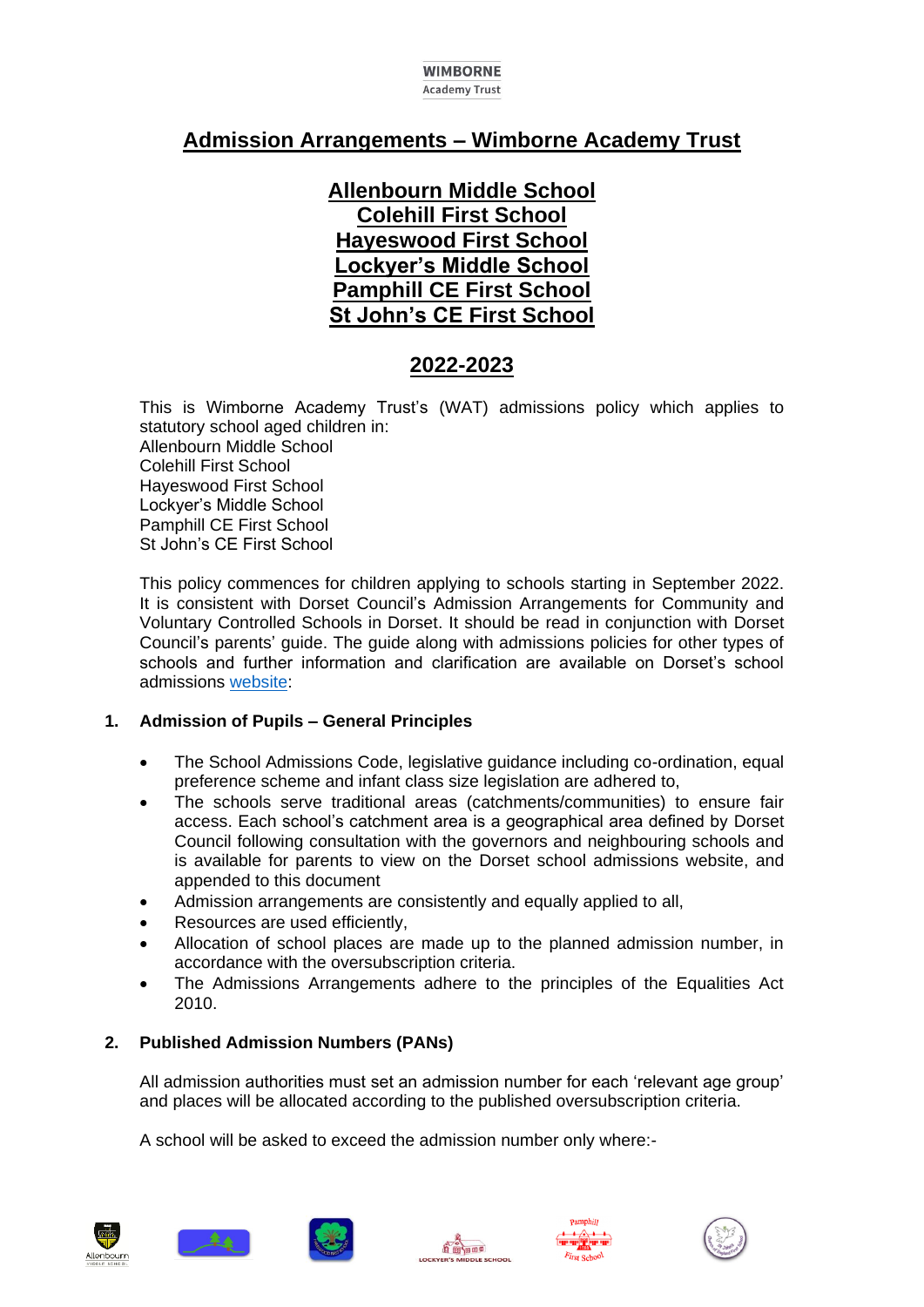#### **WIMBORNE Academy Trust**

# **Admission Arrangements – Wimborne Academy Trust**

**Allenbourn Middle School Colehill First School Hayeswood First School Lockyer's Middle School Pamphill CE First School St John's CE First School**

# **2022-2023**

This is Wimborne Academy Trust's (WAT) admissions policy which applies to statutory school aged children in: Allenbourn Middle School Colehill First School Hayeswood First School Lockyer's Middle School Pamphill CE First School St John's CE First School

This policy commences for children applying to schools starting in September 2022. It is consistent with Dorset Council's Admission Arrangements for Community and Voluntary Controlled Schools in Dorset. It should be read in conjunction with Dorset Council's parents' guide. The guide along with admissions policies for other types of schools and further information and clarification are available on Dorset's school admissions [website:](https://www.dorsetcouncil.gov.uk/education-and-training/schools-and-learning/apply-for-a-school-place/starting-school-for-the-first-time.aspx)

# **1. Admission of Pupils – General Principles**

- The School Admissions Code, legislative guidance including co-ordination, equal preference scheme and infant class size legislation are adhered to,
- The schools serve traditional areas (catchments/communities) to ensure fair access. Each school's catchment area is a geographical area defined by Dorset Council following consultation with the governors and neighbouring schools and is available for parents to view on the Dorset school admissions website, and appended to this document
- Admission arrangements are consistently and equally applied to all,
- Resources are used efficiently,
- Allocation of school places are made up to the planned admission number, in accordance with the oversubscription criteria.
- The Admissions Arrangements adhere to the principles of the Equalities Act 2010.

# **2. Published Admission Numbers (PANs)**

All admission authorities must set an admission number for each 'relevant age group' and places will be allocated according to the published oversubscription criteria.

A school will be asked to exceed the admission number only where:-











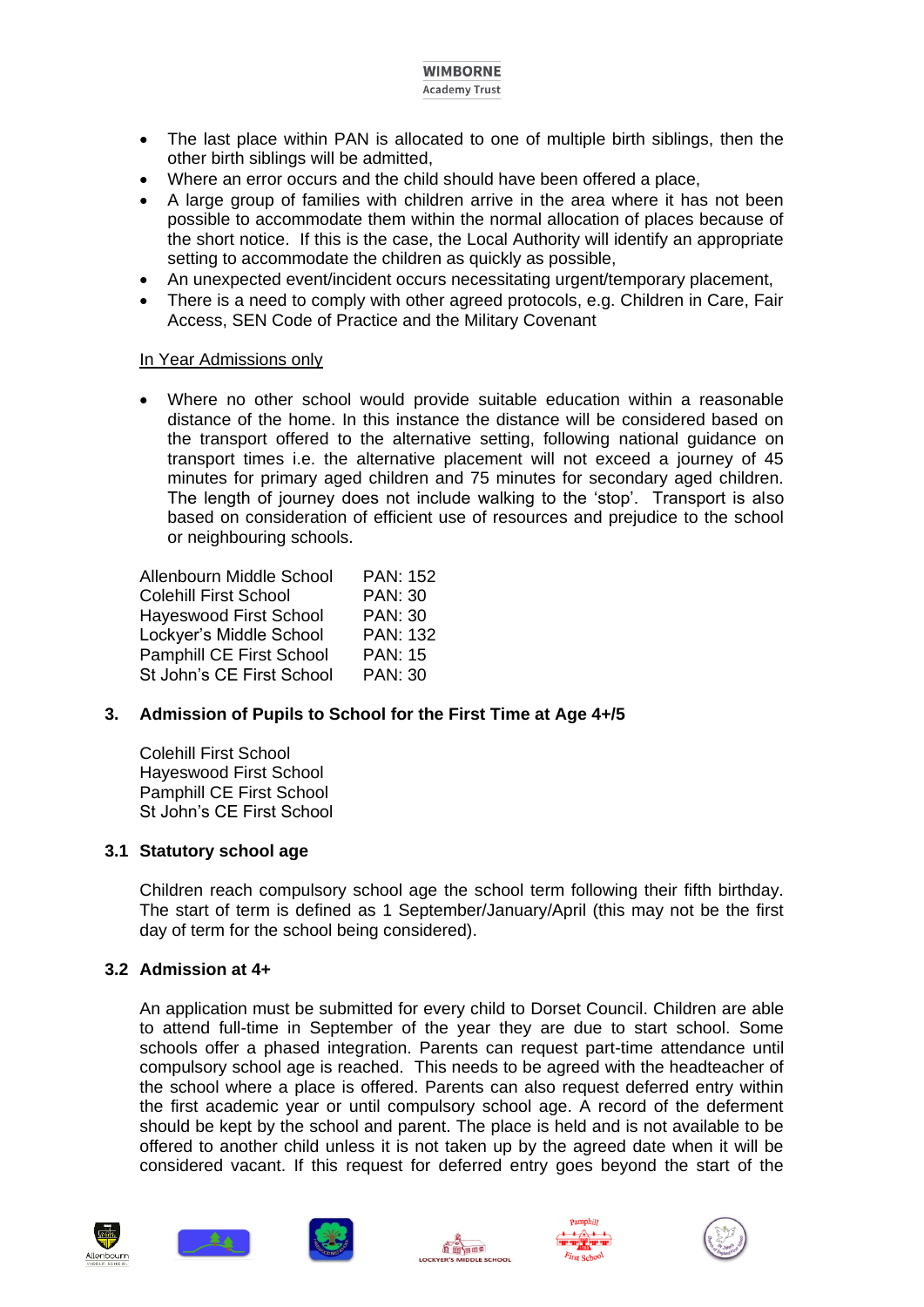#### **WIMBORNE Academy Trust**

- The last place within PAN is allocated to one of multiple birth siblings, then the other birth siblings will be admitted,
- Where an error occurs and the child should have been offered a place,
- A large group of families with children arrive in the area where it has not been possible to accommodate them within the normal allocation of places because of the short notice. If this is the case, the Local Authority will identify an appropriate setting to accommodate the children as quickly as possible,
- An unexpected event/incident occurs necessitating urgent/temporary placement,
- There is a need to comply with other agreed protocols, e.g. Children in Care, Fair Access, SEN Code of Practice and the Military Covenant

# In Year Admissions only

 Where no other school would provide suitable education within a reasonable distance of the home. In this instance the distance will be considered based on the transport offered to the alternative setting, following national guidance on transport times i.e. the alternative placement will not exceed a journey of 45 minutes for primary aged children and 75 minutes for secondary aged children. The length of journey does not include walking to the 'stop'. Transport is also based on consideration of efficient use of resources and prejudice to the school or neighbouring schools.

Allenbourn Middle School PAN: 152 Colehill First School PAN: 30 Hayeswood First School PAN: 30 Lockyer's Middle School PAN: 132 Pamphill CE First School PAN: 15 St John's CE First School PAN: 30

# **3. Admission of Pupils to School for the First Time at Age 4+/5**

Colehill First School Hayeswood First School Pamphill CE First School St John's CE First School

# **3.1 Statutory school age**

Children reach compulsory school age the school term following their fifth birthday. The start of term is defined as 1 September/January/April (this may not be the first day of term for the school being considered).

#### **3.2 Admission at 4+**

An application must be submitted for every child to Dorset Council. Children are able to attend full-time in September of the year they are due to start school. Some schools offer a phased integration. Parents can request part-time attendance until compulsory school age is reached. This needs to be agreed with the headteacher of the school where a place is offered. Parents can also request deferred entry within the first academic year or until compulsory school age. A record of the deferment should be kept by the school and parent. The place is held and is not available to be offered to another child unless it is not taken up by the agreed date when it will be considered vacant. If this request for deferred entry goes beyond the start of the











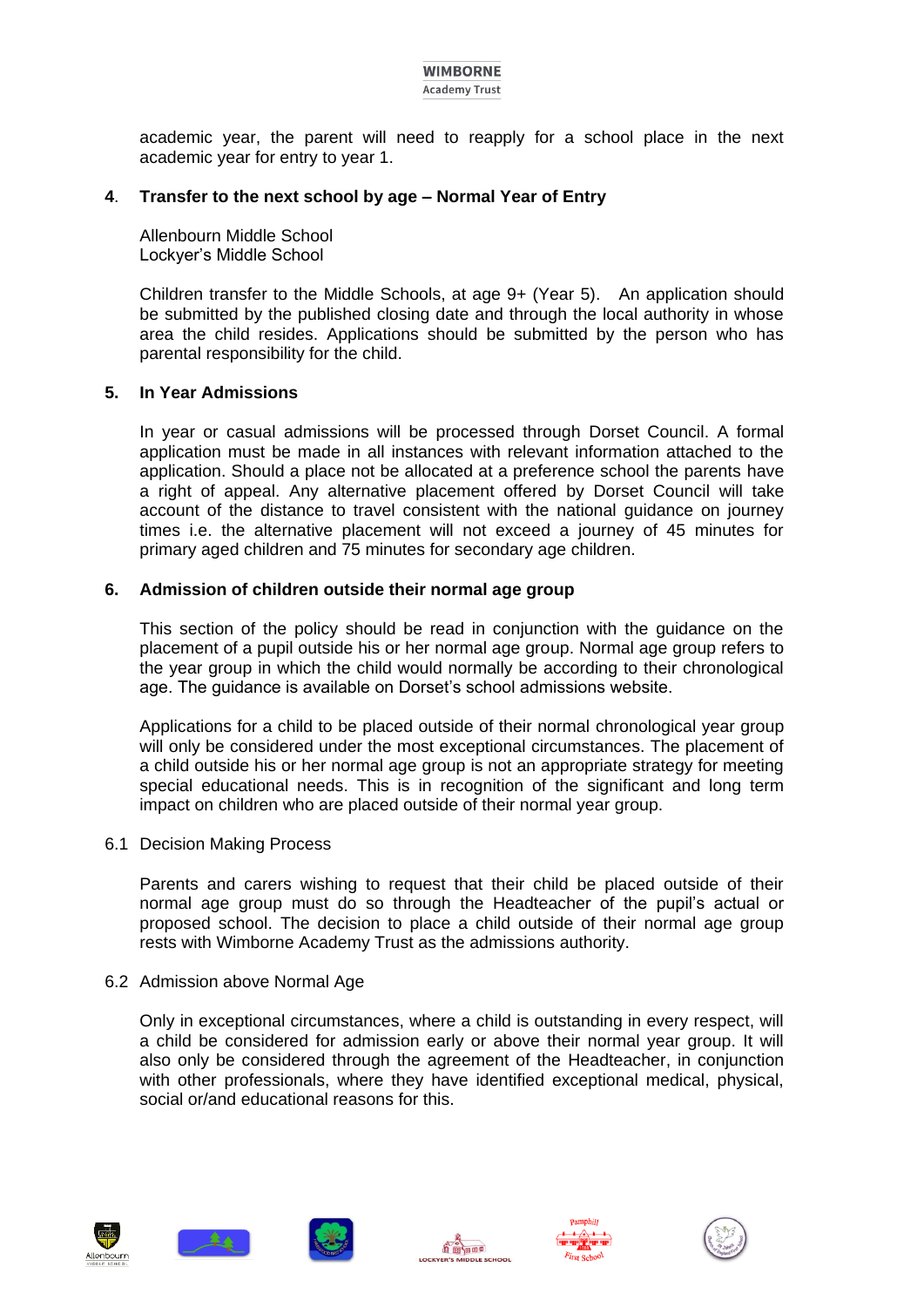#### **WIMBORNE Academy Trust**

academic year, the parent will need to reapply for a school place in the next academic year for entry to year 1.

# **4**. **Transfer to the next school by age – Normal Year of Entry**

Allenbourn Middle School Lockyer's Middle School

Children transfer to the Middle Schools, at age 9+ (Year 5). An application should be submitted by the published closing date and through the local authority in whose area the child resides. Applications should be submitted by the person who has parental responsibility for the child.

#### **5. In Year Admissions**

In year or casual admissions will be processed through Dorset Council. A formal application must be made in all instances with relevant information attached to the application. Should a place not be allocated at a preference school the parents have a right of appeal. Any alternative placement offered by Dorset Council will take account of the distance to travel consistent with the national guidance on journey times i.e. the alternative placement will not exceed a journey of 45 minutes for primary aged children and 75 minutes for secondary age children.

#### **6. Admission of children outside their normal age group**

This section of the policy should be read in conjunction with the guidance on the placement of a pupil outside his or her normal age group. Normal age group refers to the year group in which the child would normally be according to their chronological age. The guidance is available on Dorset's school admissions website.

Applications for a child to be placed outside of their normal chronological year group will only be considered under the most exceptional circumstances. The placement of a child outside his or her normal age group is not an appropriate strategy for meeting special educational needs. This is in recognition of the significant and long term impact on children who are placed outside of their normal year group.

#### 6.1 Decision Making Process

Parents and carers wishing to request that their child be placed outside of their normal age group must do so through the Headteacher of the pupil's actual or proposed school. The decision to place a child outside of their normal age group rests with Wimborne Academy Trust as the admissions authority.

#### 6.2 Admission above Normal Age

Only in exceptional circumstances, where a child is outstanding in every respect, will a child be considered for admission early or above their normal year group. It will also only be considered through the agreement of the Headteacher, in conjunction with other professionals, where they have identified exceptional medical, physical, social or/and educational reasons for this.











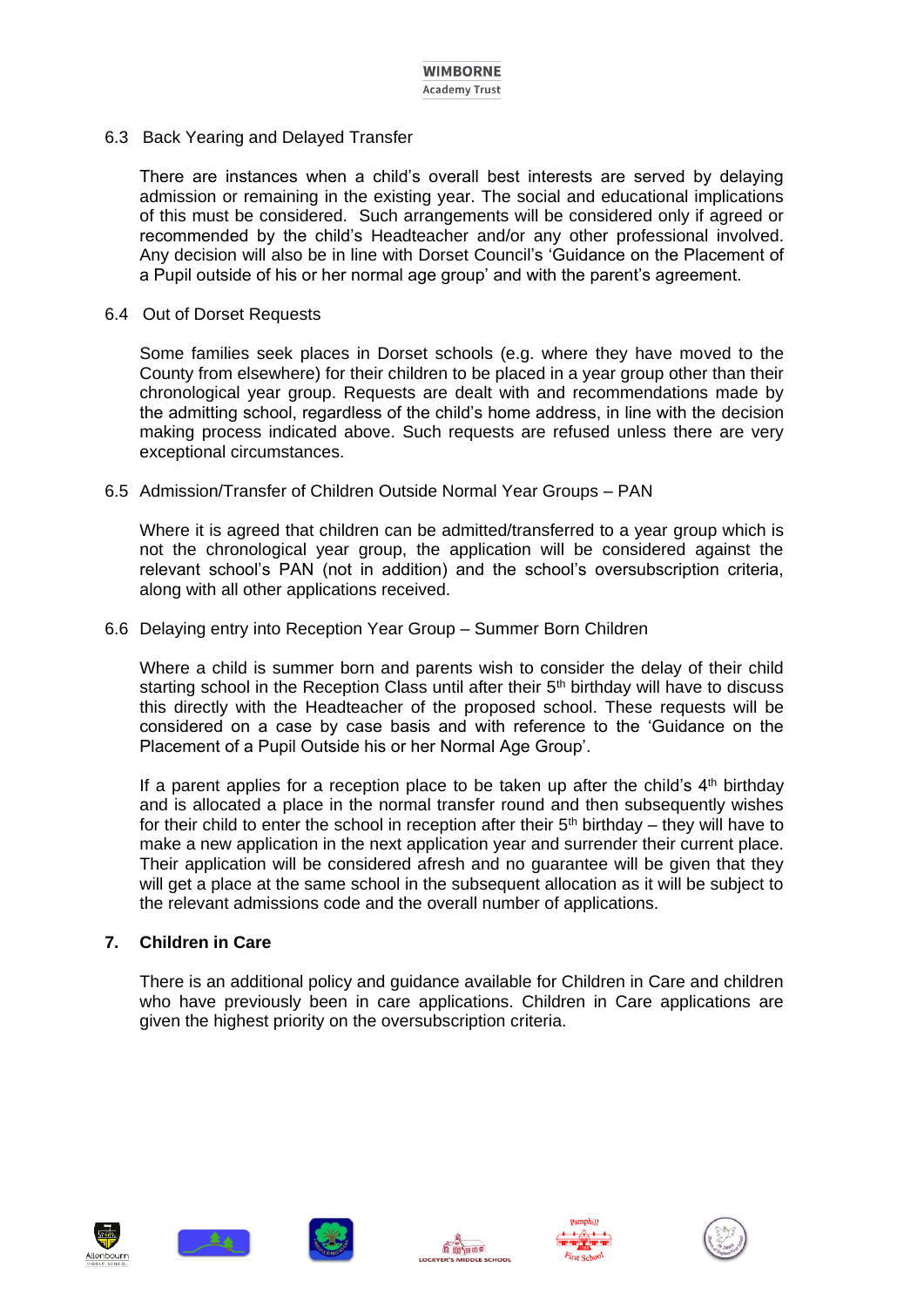6.3 Back Yearing and Delayed Transfer

There are instances when a child's overall best interests are served by delaying admission or remaining in the existing year. The social and educational implications of this must be considered. Such arrangements will be considered only if agreed or recommended by the child's Headteacher and/or any other professional involved. Any decision will also be in line with Dorset Council's 'Guidance on the Placement of a Pupil outside of his or her normal age group' and with the parent's agreement.

#### 6.4 Out of Dorset Requests

Some families seek places in Dorset schools (e.g. where they have moved to the County from elsewhere) for their children to be placed in a year group other than their chronological year group. Requests are dealt with and recommendations made by the admitting school, regardless of the child's home address, in line with the decision making process indicated above. Such requests are refused unless there are very exceptional circumstances.

6.5 Admission/Transfer of Children Outside Normal Year Groups – PAN

Where it is agreed that children can be admitted/transferred to a year group which is not the chronological year group, the application will be considered against the relevant school's PAN (not in addition) and the school's oversubscription criteria, along with all other applications received.

6.6 Delaying entry into Reception Year Group – Summer Born Children

Where a child is summer born and parents wish to consider the delay of their child starting school in the Reception Class until after their 5<sup>th</sup> birthday will have to discuss this directly with the Headteacher of the proposed school. These requests will be considered on a case by case basis and with reference to the 'Guidance on the Placement of a Pupil Outside his or her Normal Age Group'.

If a parent applies for a reception place to be taken up after the child's  $4<sup>th</sup>$  birthday and is allocated a place in the normal transfer round and then subsequently wishes for their child to enter the school in reception after their  $5<sup>th</sup>$  birthday – they will have to make a new application in the next application year and surrender their current place. Their application will be considered afresh and no guarantee will be given that they will get a place at the same school in the subsequent allocation as it will be subject to the relevant admissions code and the overall number of applications.

# **7. Children in Care**

There is an additional policy and guidance available for Children in Care and children who have previously been in care applications. Children in Care applications are given the highest priority on the oversubscription criteria.











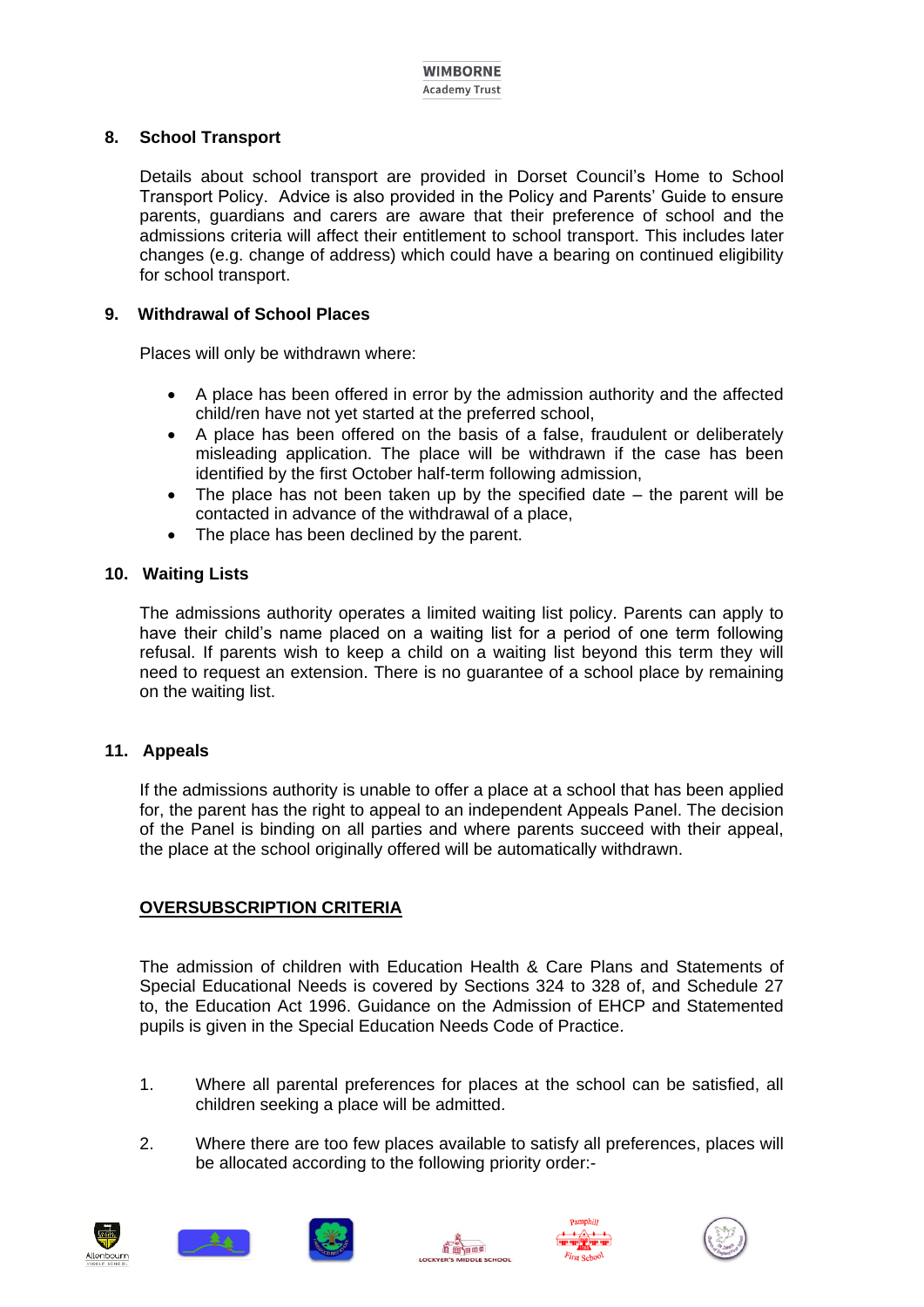# **8. School Transport**

Details about school transport are provided in Dorset Council's Home to School Transport Policy. Advice is also provided in the Policy and Parents' Guide to ensure parents, guardians and carers are aware that their preference of school and the admissions criteria will affect their entitlement to school transport. This includes later changes (e.g. change of address) which could have a bearing on continued eligibility for school transport.

#### **9. Withdrawal of School Places**

Places will only be withdrawn where:

- A place has been offered in error by the admission authority and the affected child/ren have not yet started at the preferred school,
- A place has been offered on the basis of a false, fraudulent or deliberately misleading application. The place will be withdrawn if the case has been identified by the first October half-term following admission,
- $\bullet$  The place has not been taken up by the specified date the parent will be contacted in advance of the withdrawal of a place,
- The place has been declined by the parent.

# **10. Waiting Lists**

The admissions authority operates a limited waiting list policy. Parents can apply to have their child's name placed on a waiting list for a period of one term following refusal. If parents wish to keep a child on a waiting list beyond this term they will need to request an extension. There is no guarantee of a school place by remaining on the waiting list.

# **11. Appeals**

If the admissions authority is unable to offer a place at a school that has been applied for, the parent has the right to appeal to an independent Appeals Panel. The decision of the Panel is binding on all parties and where parents succeed with their appeal, the place at the school originally offered will be automatically withdrawn.

# **OVERSUBSCRIPTION CRITERIA**

The admission of children with Education Health & Care Plans and Statements of Special Educational Needs is covered by Sections 324 to 328 of, and Schedule 27 to, the Education Act 1996. Guidance on the Admission of EHCP and Statemented pupils is given in the Special Education Needs Code of Practice.

- 1. Where all parental preferences for places at the school can be satisfied, all children seeking a place will be admitted.
- 2. Where there are too few places available to satisfy all preferences, places will be allocated according to the following priority order:-











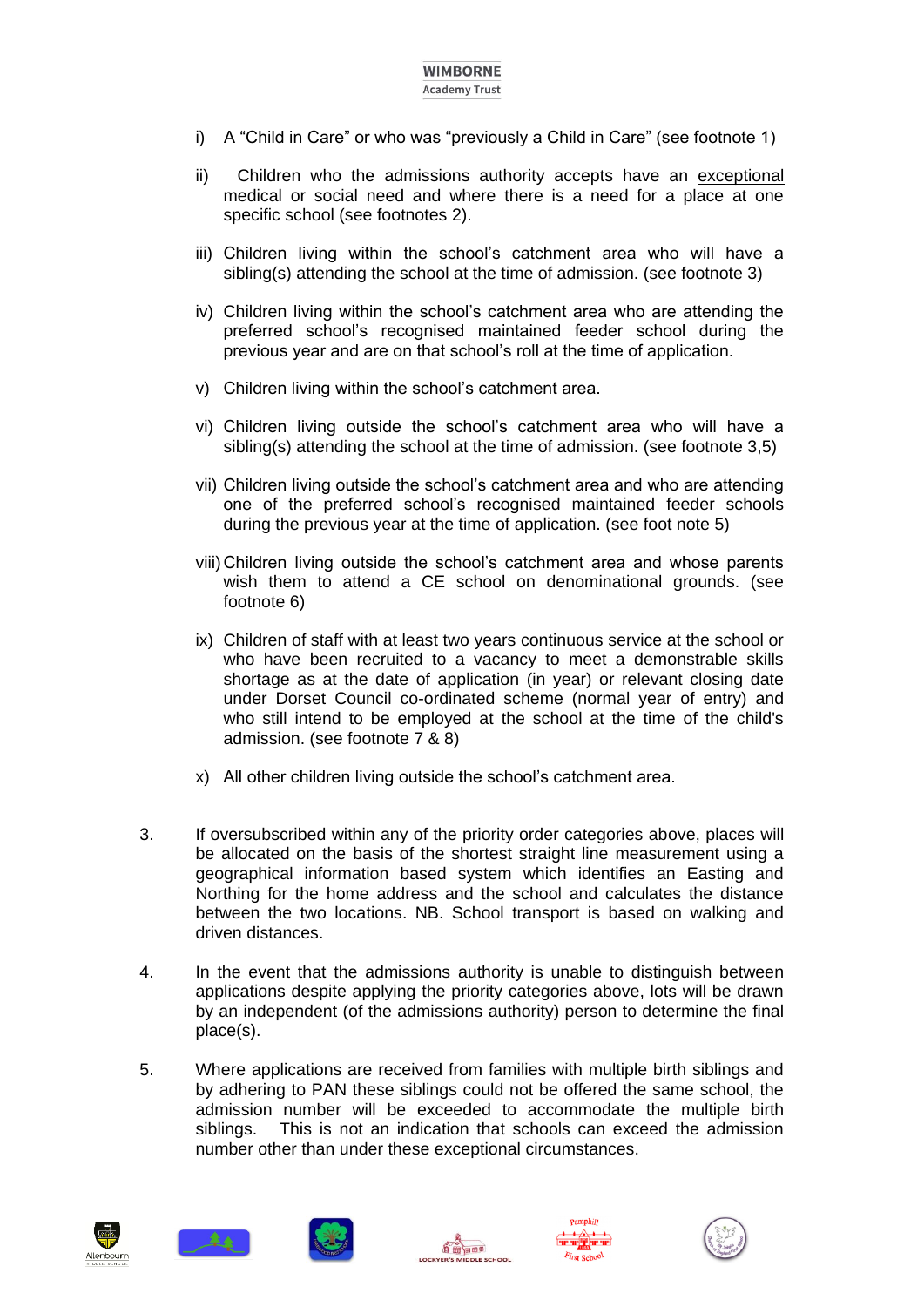# **WIMBORNE**

- **Academy Trust**
- i) A "Child in Care" or who was "previously a Child in Care" (see footnote 1)
- ii) Children who the admissions authority accepts have an exceptional medical or social need and where there is a need for a place at one specific school (see footnotes 2).
- iii) Children living within the school's catchment area who will have a sibling(s) attending the school at the time of admission. (see footnote 3)
- iv) Children living within the school's catchment area who are attending the preferred school's recognised maintained feeder school during the previous year and are on that school's roll at the time of application.
- v) Children living within the school's catchment area.
- vi) Children living outside the school's catchment area who will have a sibling(s) attending the school at the time of admission. (see footnote 3,5)
- vii) Children living outside the school's catchment area and who are attending one of the preferred school's recognised maintained feeder schools during the previous year at the time of application. (see foot note 5)
- viii)Children living outside the school's catchment area and whose parents wish them to attend a CE school on denominational grounds. (see footnote 6)
- ix) Children of staff with at least two years continuous service at the school or who have been recruited to a vacancy to meet a demonstrable skills shortage as at the date of application (in year) or relevant closing date under Dorset Council co-ordinated scheme (normal year of entry) and who still intend to be employed at the school at the time of the child's admission. (see footnote 7 & 8)
- x) All other children living outside the school's catchment area.
- 3. If oversubscribed within any of the priority order categories above, places will be allocated on the basis of the shortest straight line measurement using a geographical information based system which identifies an Easting and Northing for the home address and the school and calculates the distance between the two locations. NB. School transport is based on walking and driven distances.
- 4. In the event that the admissions authority is unable to distinguish between applications despite applying the priority categories above, lots will be drawn by an independent (of the admissions authority) person to determine the final place(s).
- 5. Where applications are received from families with multiple birth siblings and by adhering to PAN these siblings could not be offered the same school, the admission number will be exceeded to accommodate the multiple birth siblings. This is not an indication that schools can exceed the admission number other than under these exceptional circumstances.











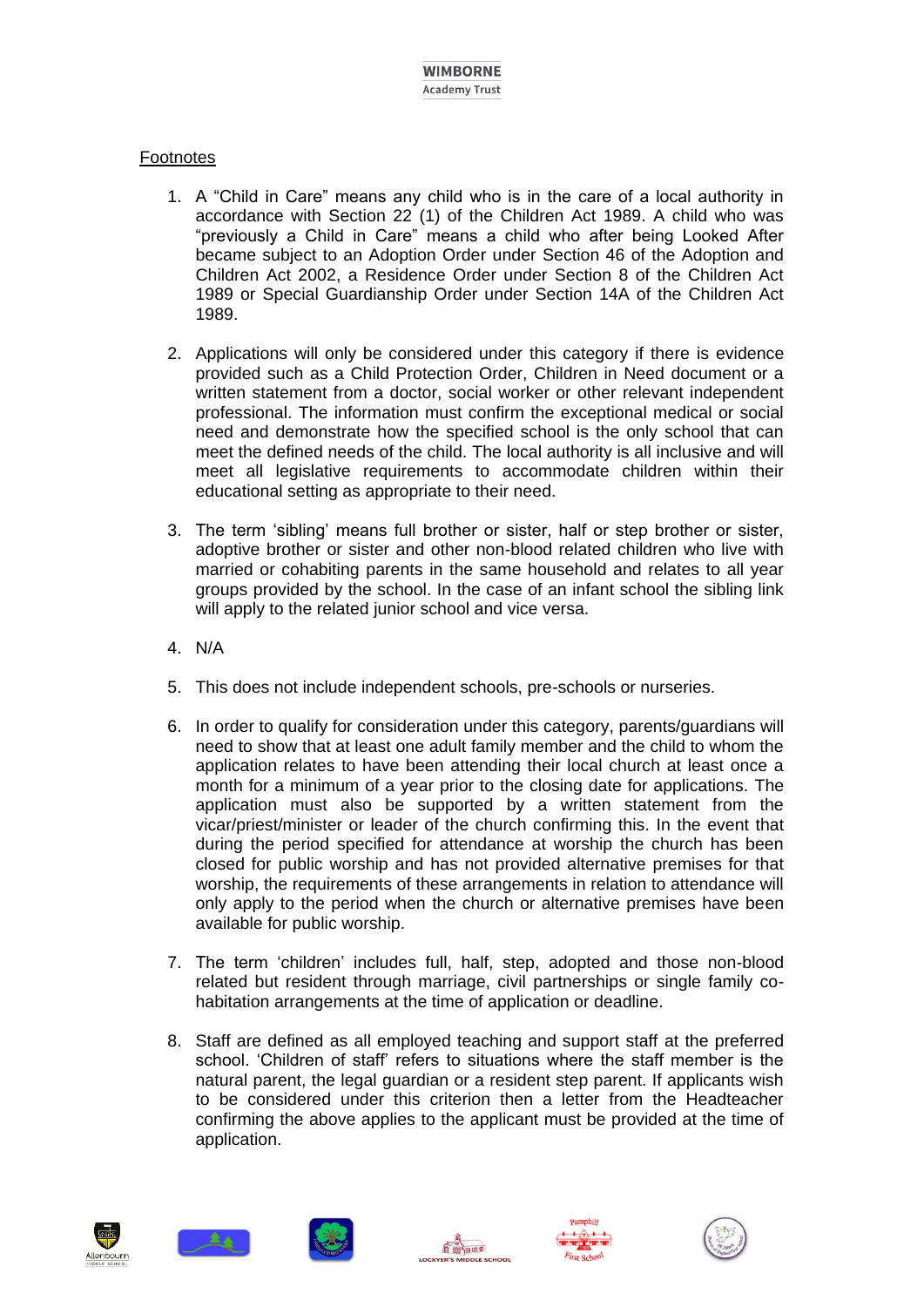# **Footnotes**

- 1. A "Child in Care" means any child who is in the care of a local authority in accordance with Section 22 (1) of the Children Act 1989. A child who was "previously a Child in Care" means a child who after being Looked After became subject to an Adoption Order under Section 46 of the Adoption and Children Act 2002, a Residence Order under Section 8 of the Children Act 1989 or Special Guardianship Order under Section 14A of the Children Act 1989.
- 2. Applications will only be considered under this category if there is evidence provided such as a Child Protection Order, Children in Need document or a written statement from a doctor, social worker or other relevant independent professional. The information must confirm the exceptional medical or social need and demonstrate how the specified school is the only school that can meet the defined needs of the child. The local authority is all inclusive and will meet all legislative requirements to accommodate children within their educational setting as appropriate to their need.
- 3. The term 'sibling' means full brother or sister, half or step brother or sister, adoptive brother or sister and other non-blood related children who live with married or cohabiting parents in the same household and relates to all year groups provided by the school. In the case of an infant school the sibling link will apply to the related junior school and vice versa.
- 4. N/A
- 5. This does not include independent schools, pre-schools or nurseries.
- 6. In order to qualify for consideration under this category, parents/guardians will need to show that at least one adult family member and the child to whom the application relates to have been attending their local church at least once a month for a minimum of a year prior to the closing date for applications. The application must also be supported by a written statement from the vicar/priest/minister or leader of the church confirming this. In the event that during the period specified for attendance at worship the church has been closed for public worship and has not provided alternative premises for that worship, the requirements of these arrangements in relation to attendance will only apply to the period when the church or alternative premises have been available for public worship.
- 7. The term 'children' includes full, half, step, adopted and those non-blood related but resident through marriage, civil partnerships or single family cohabitation arrangements at the time of application or deadline.
- 8. Staff are defined as all employed teaching and support staff at the preferred school. 'Children of staff' refers to situations where the staff member is the natural parent, the legal guardian or a resident step parent. If applicants wish to be considered under this criterion then a letter from the Headteacher confirming the above applies to the applicant must be provided at the time of application.